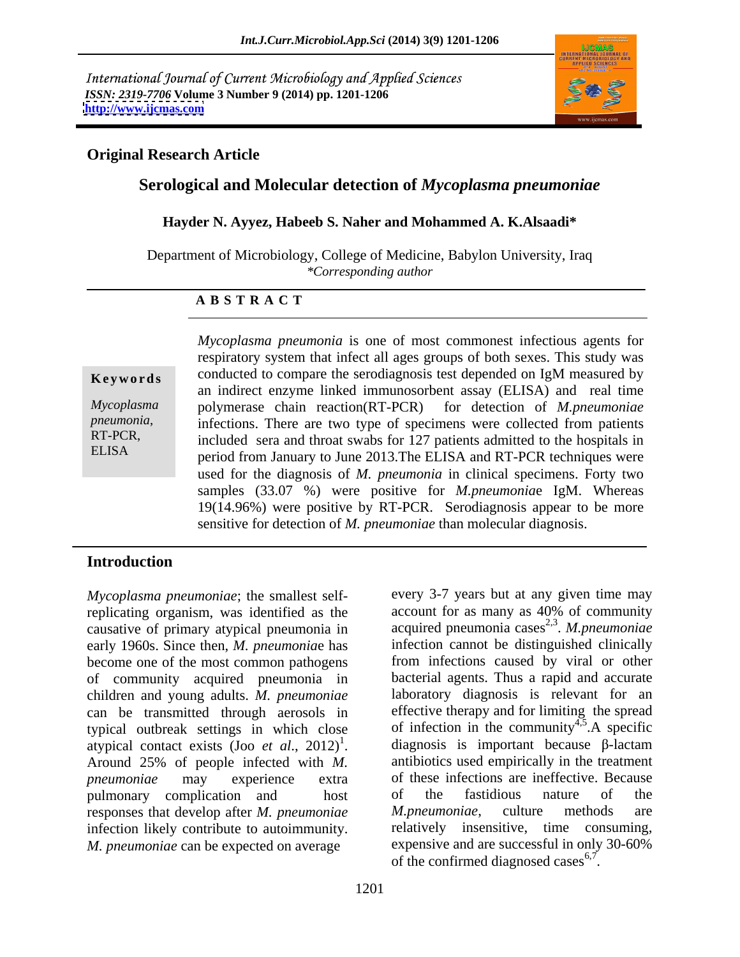International Journal of Current Microbiology and Applied Sciences *ISSN: 2319-7706* **Volume 3 Number 9 (2014) pp. 1201-1206 <http://www.ijcmas.com>**



## **Original Research Article**

## **Serological and Molecular detection of** *Mycoplasma pneumoniae*

**Hayder N. Ayyez, Habeeb S. Naher and Mohammed A. K.Alsaadi\***

Department of Microbiology, College of Medicine, Babylon University, Iraq *\*Corresponding author* 

#### **A B S T R A C T**

**Keywords** conducted to compare the serodiagnosis test depended on IgM measured by *Mycoplasma*  polymerase chain reaction(RT-PCR) for detection of *M.pneumoniae pneumonia*, infections. There are two type of specimens were collected from patients included sera and throat swabs for 127 patients admitted to the hospitals in ELISA period from January to June 2013. The ELISA and RT-PCR techniques were *Mycoplasma pneumonia* is one of most commonest infectious agents for respiratory system that infect all ages groups of both sexes. This study was an indirect enzyme linked immunosorbent assay (ELISA) and real time included sera and throat swabs for 127 patients admitted to the hospitals in used for the diagnosis of *M. pneumonia* in clinical specimens. Forty two samples (33.07 %) were positive for *M.pneumonia*e IgM. Whereas 19(14.96%) were positive by RT-PCR. Serodiagnosis appear to be more sensitive for detection of *M. pneumoniae* than molecular diagnosis.

# **Introduction**

*Mycoplasma pneumoniae*; the smallest self-every 3-7 years but at any given time may replicating organism, was identified as the causative of primary atypical pneumonia in early 1960s. Since then, *M. pneumonia*e has become one of the most common pathogens of community acquired pneumonia in bacterial agents. Thus a rapid and accurate children and young adults. *M. pneumoniae* can be transmitted through aerosols in effective therapy and for limiting the spread typical outbreak settings in which close of infection in the community<sup>4,5</sup>.A specific atypical contact exists (Joo *et al.*, 2012)<sup>1</sup>. diagnosis is important because  $\beta$ -lactam Around 25% of people infected with *M. pneumoniae* may experience extra of these infections are ineffective. Because pulmonary complication and host of the fastidious nature of the responses that develop after *M. pneumoniae M. pneumoniae*, culture methods are responses that develop after *M. pneumoniae* infection likely contribute to autoimmunity. *M. pneumoniae* can be expected on average

account for as many as 40% of community acquired pneumonia cases<sup>2,3</sup>. M.pneumoniae . *M.pneumoniae* infection cannot be distinguished clinically from infections caused by viral or other laboratory diagnosis is relevant for an  $4.5 \Delta$  encoific .A specific antibiotics used empirically in the treatment of the fastidious nature of the *M.pneumoniae*, culture methods are relatively insensitive, time consuming, expensive and are successful in only 30-60% of the confirmed diagnosed cases  $6.7$ . .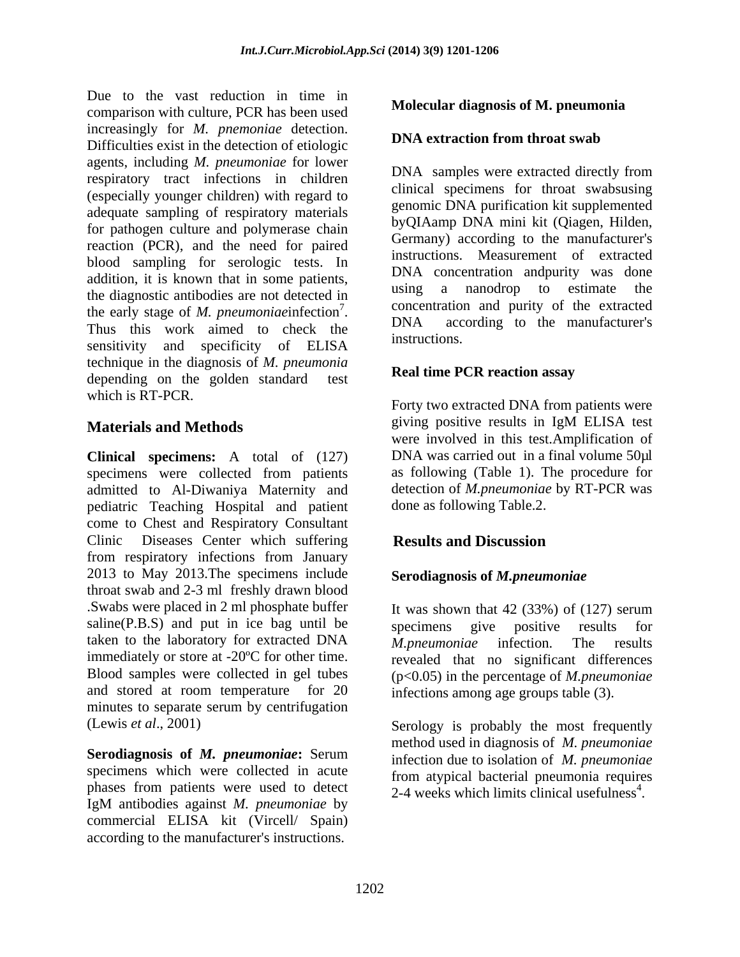Due to the vast reduction in time in comparison with culture, PCR has been used increasingly for *M. pnemoniae* detection. Difficulties exist in the detection of etiologic agents, including *M. pneumoniae* for lower respiratory tract infections in children (especially younger children) with regard to adequate sampling of respiratory materials for pathogen culture and polymerase chain reaction (PCR), and the need for paired blood sampling for serologic tests. In addition, it is known that in some patients,<br>the discussive extinction and detected in the using a nanodrop to estimate the the diagnostic antibodies are not detected in the early stage of *M. pneumoniae*infection<sup>7</sup>. DNA Thus this work aimed to check the  $\frac{DNA}{DNB}$  acc sensitivity and specificity of ELISA technique in the diagnosis of *M. pneumonia* depending on the golden standard test which is RT-PCR.

**Clinical specimens:** A total of (127) specimens were collected from patients admitted to Al-Diwaniya Maternity and pediatric Teaching Hospital and patient come to Chest and Respiratory Consultant Clinic Diseases Center which suffering **Results and Discussion** from respiratory infections from January 2013 to May 2013.The specimens include throat swab and 2-3 ml freshly drawn blood .Swabs were placed in 2 ml phosphate buffer It was shown that 42 (33%) of (127) serum  $saling(P.B.S)$  and put in ice bag until be  $s<sup>p</sup> specimens give positive results for$ taken to the laboratory for extracted DNA M.pneumoniae infection. The results immediately or store at -20ºC for other time. revealed that no significant differences Blood samples were collected in gel tubes ( $p<0.05$ ) in the percentage of *M.pneumoniae* and stored at room temperature for 20 infections among age groups table (3). minutes to separate serum by centrifugation

**Serodiagnosis of** *M. pneumoniae***:** Serum specimens which were collected in acute phases from patients were used to detect  $2-4$  weeks which limits clinical usefulness<sup>4</sup>. IgM antibodies against *M. pneumoniae* by commercial ELISA kit (Vircell/ Spain) according to the manufacturer's instructions.

## **Molecular diagnosis of M. pneumonia**

### **DNA extraction from throat swab**

Concentration and purity of the extracted DNA samples were extracted directly from clinical specimens for throat swabsusing genomic DNA purification kit supplemented byQIAamp DNA mini kit (Qiagen, Hilden, Germany) according to the manufacturer's instructions. Measurement of extracted DNA concentration andpurity was done using a nanodrop to estimate the concentration and purity of the extracted DNA according to the manufacturer's instructions.

### **Real time PCR reaction assay**

**Materials and Methods Example 2018 Materials and Methods EXAMPLE 2019 Materials and Methods** Forty two extracted DNA from patients were giving positive results in IgM ELISA test were involved in this test.Amplification of DNA was carried out in a final volume 50µl as following (Table 1). The procedure for detection of *M.pneumoniae* by RT-PCR was done as following Table.2.

# **Results and Discussion**

### **Serodiagnosis of** *M.pneumoniae*

give positive results *M.pneumoniae* infection. The results

(Lewis *et al*., 2001) Serology is probably the most frequently method used in diagnosis of *M. pneumoniae* infection due to isolation of *M. pneumoniae* from atypical bacterial pneumonia requires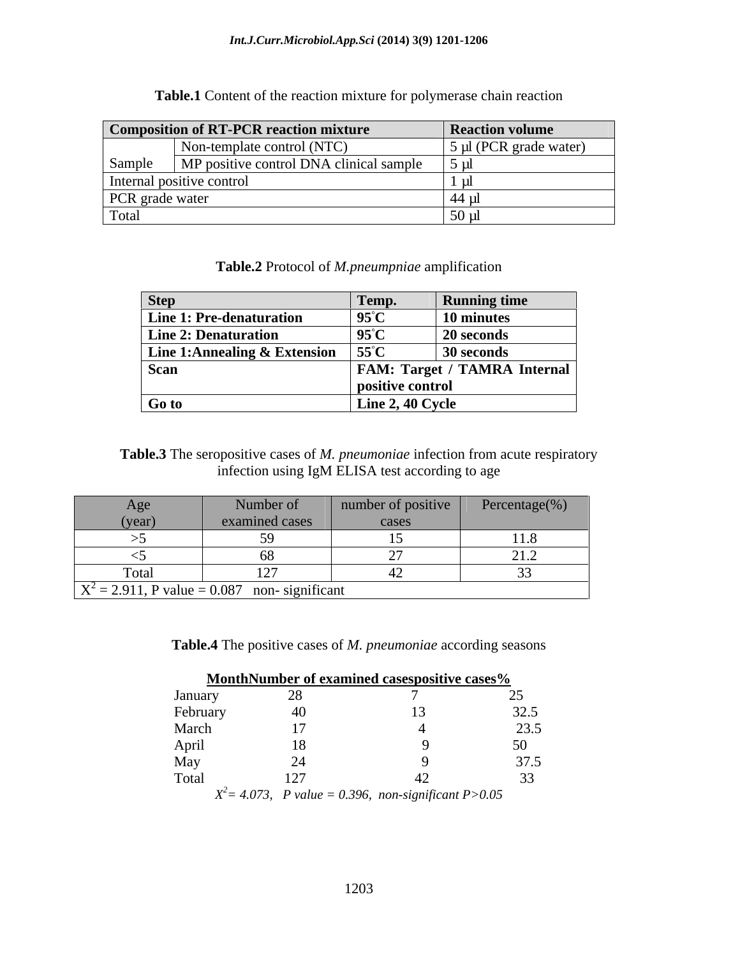| <b>Composition of RT-PCR reaction mixture</b> |                                         | <b>Reaction volume</b> |
|-----------------------------------------------|-----------------------------------------|------------------------|
|                                               | Non-template control (NTC)              | 5 µl (PCR grade water) |
| Sample                                        | MP positive control DNA clinical sample | ี่ 5 ม                 |
|                                               | Internal positive control               |                        |
| <b>PCR</b> grade water                        |                                         |                        |
| Total                                         |                                         | $50 \mu$               |

**Table.1** Content of the reaction mixture for polymerase chain reaction

**Table.2** Protocol of *M.pneumpniae* amplification

| <b>Step</b>                                      | Temp.            | <b>Running time</b>                 |
|--------------------------------------------------|------------------|-------------------------------------|
| <b>Line 1: Pre-denaturation</b>                  | $95^{\circ}$ C   | 10 minutes                          |
| <b>Line 2: Denaturation</b>                      | $95^{\circ}$ C   | <b>20 seconds</b>                   |
| Line 1:Annealing & Extension $\int 55^{\circ}$ C |                  | 30 seconds                          |
| <b>Scan</b>                                      |                  | <b>FAM: Target / TAMRA Internal</b> |
|                                                  | positive control |                                     |
| Go to                                            | Line 2, 40 Cycle |                                     |

**Table.3** The seropositive cases of *M. pneumoniae* infection from acute respiratory infection using IgM ELISA test according to age

| Age       | Number of                                       | number of positive | Percentage(%) |  |  |
|-----------|-------------------------------------------------|--------------------|---------------|--|--|
| (year)    | examined cases                                  | cases              |               |  |  |
|           |                                                 |                    |               |  |  |
|           |                                                 |                    | 41.L          |  |  |
| Total     |                                                 |                    |               |  |  |
| ————————— | $X^2 = 2.911$ , P value = 0.087 non-significant |                    |               |  |  |

**Table.4** The positive cases of *M. pneumoniae* according seasons

|                                            | <b>MonthNumber of examined casespositive cases%</b>                    |  |
|--------------------------------------------|------------------------------------------------------------------------|--|
| January                                    |                                                                        |  |
| February                                   |                                                                        |  |
| March                                      |                                                                        |  |
| <b>Contract Contract Contract</b><br>April |                                                                        |  |
| Mav                                        |                                                                        |  |
| Total                                      |                                                                        |  |
|                                            | $X^2 = 4.073$ , <i>P</i> value = 0.396, non-significant <i>P</i> >0.05 |  |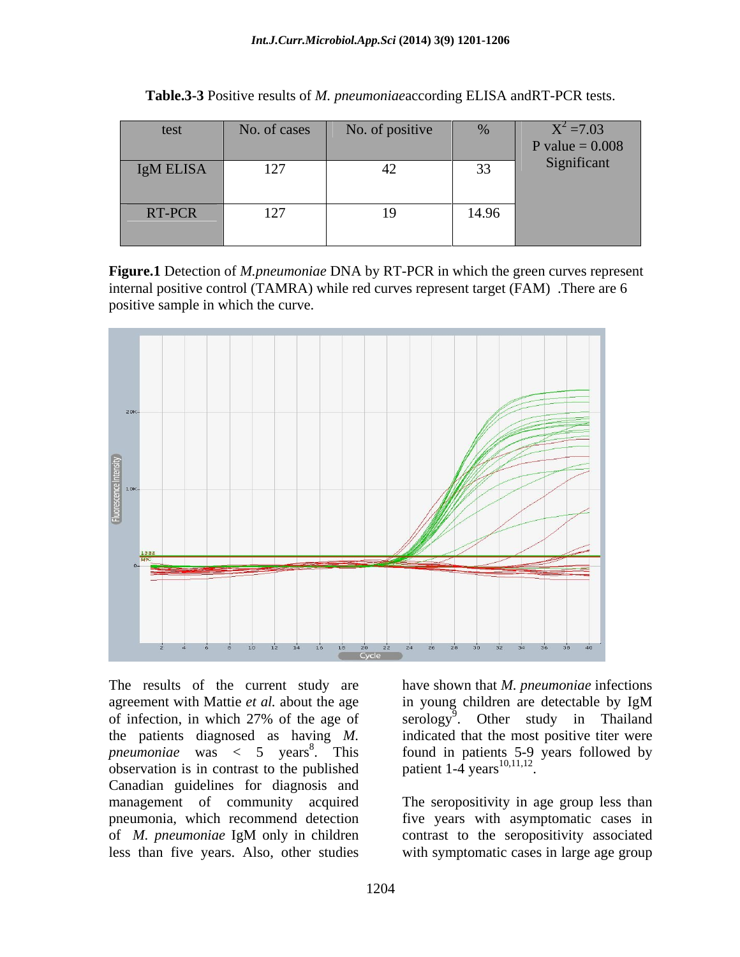| test      |                                | No. of cases No. of positive | $\sim 0/2$            | $X^2 = 7.03$      |
|-----------|--------------------------------|------------------------------|-----------------------|-------------------|
|           |                                |                              |                       | P value = $0.008$ |
| IgM ELISA | 127<br>$\perp$ $\perp$ $\perp$ |                              | 33 <sup>7</sup><br>ັບ | Significant       |
|           |                                |                              |                       |                   |
| RT-PCR    | 127<br>$\perp$                 | $\sim$                       | 14.96                 |                   |
|           |                                |                              |                       |                   |

**Table.3-3** Positive results of *M. pneumoniae*according ELISA andRT-PCR tests.

**Figure.1** Detection of *M.pneumoniae* DNA by RT-PCR in which the green curves represent internal positive control (TAMRA) while red curves represent target (FAM) .There are 6 positive sample in which the curve.



The results of the current study are have shown that *M. pneumoniae* infections agreement with Mattie *et al.* about the age in young children are detectable by IgM of infection, in which 27% of the age of serology<sup>9</sup>. Other study in Thailand the patients diagnosed as having *M.*  indicated that the most positive titer were pneumoniae was < 5 years<sup>8</sup>. This found in patients 5-9 years followed by observation is in contrast to the published  $\mu$  patient 1-4 years<sup>10,11,12</sup>. Canadian guidelines for diagnosis and management of community acquired pneumonia, which recommend detection five years with asymptomatic cases in of *M. pneumoniae* IgM only in children

in young children are detectable by IgM found in patients 5-9 years followed by patient  $1-4$  years  $^{10,11,12}$ .

less than five years. Also, other studies with symptomatic cases in large age groupThe seropositivity in age group less than contrast to the seropositivity associated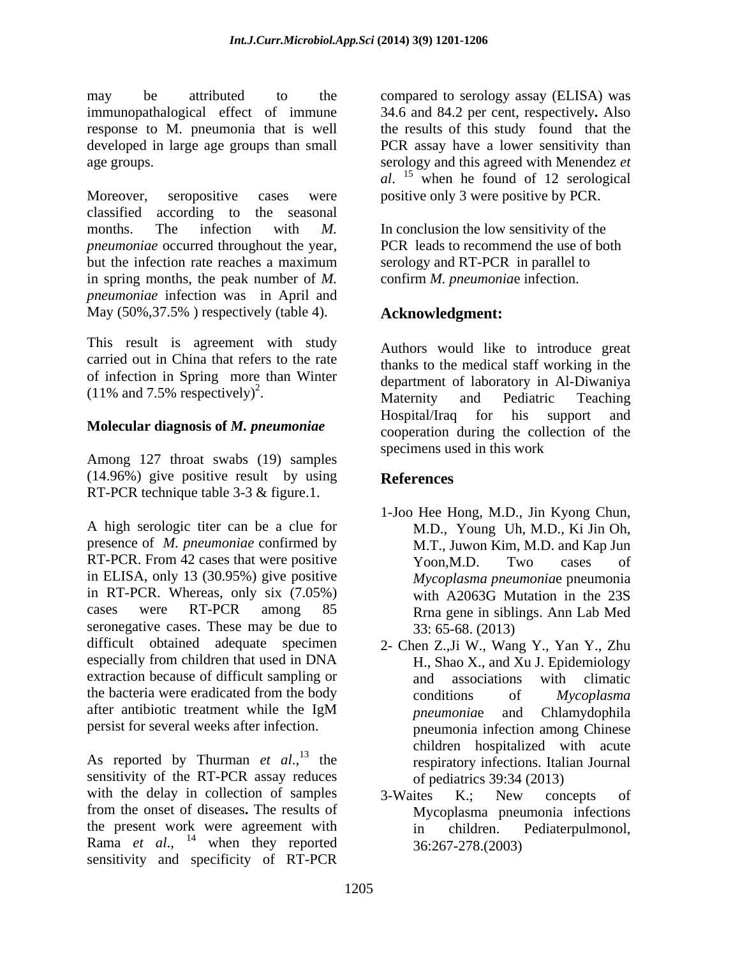may be attributed to the compared to serology assay (ELISA) was immunopathalogical effect of immune 34.6 and 84.2 per cent, respectively. Also response to M. pneumonia that is well developed in large age groups than small PCR assay have a lower sensitivity than age groups. serology and this agreed with Menendez *et* 

Moreover, seropositive cases were positive only 3 were positive by PCR. classified according to the seasonal months. The infection with *M*. In conclusion the low sensitivity of the *pneumoniae* occurred throughout the year, PCR leads to recommend the use of both but the infection rate reaches a maximum in spring months, the peak number of *M. pneumoniae* infection was in April and May (50%,37.5% ) respectively (table 4).

This result is agreement with study carried out in China that refers to the rate of infection in Spring more than Winter

Among 127 throat swabs (19) samples (14.96%) give positive result by using RT-PCR technique table 3-3 & figure.1.

A high serologic titer can bea clue for presence of *M. pneumoniae* confirmed by RT-PCR. From 42 cases that were positive Yoon, M.D. Two cases of in ELISA, only 13 (30.95%) give positive in RT-PCR. Whereas, only six (7.05%) cases were RT-PCR among 85 Rrna gene in siblings. Ann Lab Med seronegative cases. These may be due to difficult obtained adequate specimen 2- Chen Z.,Ji W., Wang Y., Yan Y., Zhu especially from children that used in DNA extraction because of difficult sampling or and associations with climatic the bacteria were eradicated from the body conditions of Mycoplasma after antibiotic treatment while the IgM between proper and Chlamydophila persist for several weeks after infection.

As reported by Thurman *et al.*,<sup>13</sup> the sensitivity of the RT-PCR assay reduces with the delay in collection of samples 3-Waites K.; New concepts of from the onset of diseases**.** The results of the present work were agreement with  $\frac{1}{2}$  in children. Pediaterpulmonol, Rama *et al.*, <sup>14</sup> when they reported sensitivity and specificity of RT-PCR

34.6 and 84.2 per cent, respectively**.** Also the results of this study found that the *al*. <sup>15</sup> when he found of 12 serological

serology and RT-PCR in parallel to confirm *M. pneumonia*e infection.

# **Acknowledgment:**

 $(11\% \text{ and } 7.5\% \text{ respectively})^2$ .<br>Maternity and Pediatric Teaching and the material contract of the contract of the contract of the contract of the contract of the contract of the contract of the contract of the contract of the contract of the contract of the contract of the contract of t **Molecular diagnosis of** *M. pneumoniae* Hospital/Iraq for his support **Molecular diagnosis of** *M. pneumoniae* cooperation during the collection Authors would like to introduce great thanks to the medical staff working in the department of laboratory in Al-Diwaniya Maternity and Pediatric Teaching Hospital/Iraq for his support and cooperation during the collection of the specimens used in this work

## **References**

- 1-Joo Hee Hong, M.D., Jin Kyong Chun, M.D., Young Uh, M.D., Ki Jin Oh, M.T., Juwon Kim, M.D. and Kap Jun Yoon,M.D. Two cases of *Mycoplasma pneumonia*e pneumonia with A2063G Mutation in the 23S 33: 65-68. (2013)
- H., Shao X., and Xu J. Epidemiology and associations with climatic conditions of *Mycoplasma pneumonia*e and Chlamydophila pneumonia infection among Chinese children hospitalized with acute respiratory infections. Italian Journal of pediatrics 39:34 (2013)
- when they reported  $36:267-278.(2003)$ 3-Waites K.; New concepts of Mycoplasma pneumonia infections in children. Pediaterpulmonol, 36:267-278.(2003)